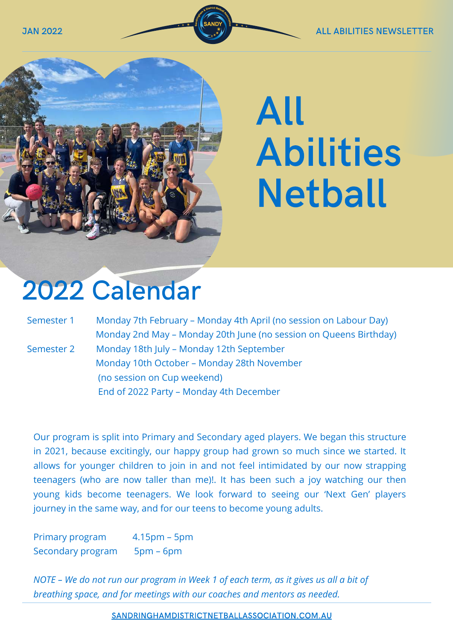

# All Abilities Netball

# 2022 Calendar

| Semester 1 | Monday 7th February - Monday 4th April (no session on Labour Day) |
|------------|-------------------------------------------------------------------|
|            | Monday 2nd May - Monday 20th June (no session on Queens Birthday) |
| Semester 2 | Monday 18th July - Monday 12th September                          |
|            | Monday 10th October - Monday 28th November                        |
|            | (no session on Cup weekend)                                       |
|            | End of 2022 Party - Monday 4th December                           |

Our program is split into Primary and Secondary aged players. We began this structure in 2021, because excitingly, our happy group had grown so much since we started. It allows for younger children to join in and not feel intimidated by our now strapping teenagers (who are now taller than me)!. It has been such a joy watching our then young kids become teenagers. We look forward to seeing our 'Next Gen' players journey in the same way, and for our teens to become young adults.

Primary program 4.15pm – 5pm Secondary program 5pm – 6pm

*NOTE – We do not run our program in Week 1 of each term, as it gives us all a bit of breathing space, and for meetings with our coaches and mentors as needed.*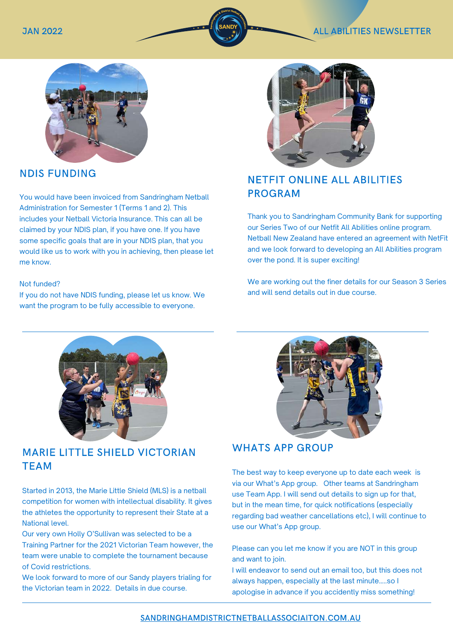

## NDIS FUNDING

You would have been invoiced from Sandringham Netball Administration for Semester 1 (Terms 1 and 2). This includes your Netball Victoria Insurance. This can all be claimed by your NDIS plan, if you have one. If you have some specific goals that are in your NDIS plan, that you would like us to work with you in achieving, then please let me know.

#### Not funded?

If you do not have NDIS funding, please let us know. We want the program to be fully accessible to everyone.



# NETFIT ONLINE ALL ABILITIES PROGRAM

Thank you to Sandringham Community Bank for supporting our Series Two of our Netfit All Abilities online program. Netball New Zealand have entered an agreement with NetFit and we look forward to developing an All Abilities program over the pond. It is super exciting!

We are working out the finer details for our Season 3 Series and will send details out in due course.



#### MARIE LITTLE SHIELD VICTORIAN **TEAM** TEAM

Started in 2013, the Marie Little Shield (MLS) is a netball competition for women with intellectual disability. It gives the athletes the opportunity to represent their State at a National level.

Our very own Holly O'Sullivan was selected to be a Training Partner for the 2021 Victorian Team however, the team were unable to complete the tournament because of Covid restrictions.

We look forward to more of our Sandy players trialing for the Victorian team in 2022. Details in due course.



### WHATS APP GROUP

The best way to keep everyone up to date each week is via our What's App group. Other teams at Sandringham use Team App. I will send out details to sign up for that, but in the mean time, for quick notifications (especially regarding bad weather cancellations etc), I will continue to use our What's App group.

Please can you let me know if you are NOT in this group and want to join.

I will endeavor to send out an email too, but this does not always happen, especially at the last minute…..so I apologise in advance if you accidently miss something!

#### [SANDRINGHAMDISTRICTNETBALLASSOCIAITON.COM.AU](https://sandringhamdistrictnetballassociation.com.au/events/month/2022-09/)